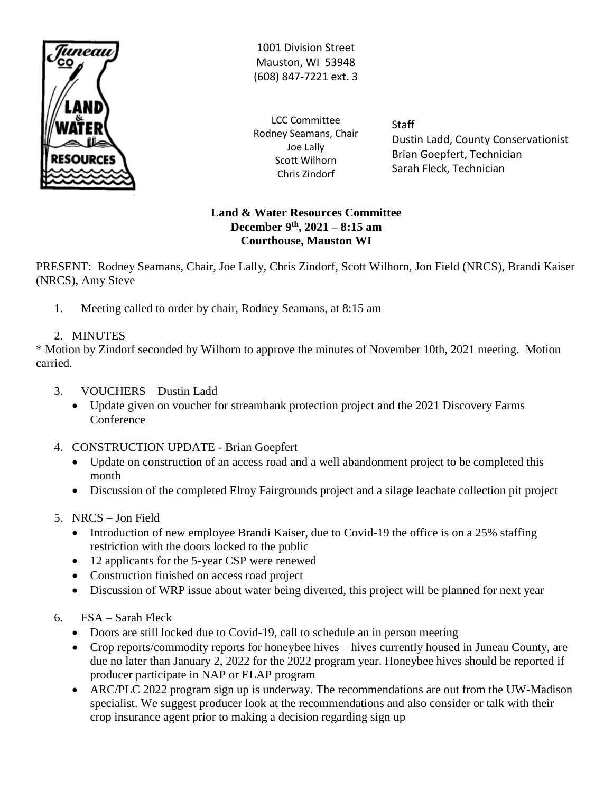

1001 Division Street Mauston, WI 53948 (608) 847-7221 ext. 3

LCC Committee Rodney Seamans, Chair Joe Lally Scott Wilhorn Chris Zindorf

**Staff** Dustin Ladd, County Conservationist Brian Goepfert, Technician Sarah Fleck, Technician

### **Land & Water Resources Committee December 9 th, 2021 – 8:15 am Courthouse, Mauston WI**

PRESENT: Rodney Seamans, Chair, Joe Lally, Chris Zindorf, Scott Wilhorn, Jon Field (NRCS), Brandi Kaiser (NRCS), Amy Steve

1. Meeting called to order by chair, Rodney Seamans, at 8:15 am

# 2. MINUTES

\* Motion by Zindorf seconded by Wilhorn to approve the minutes of November 10th, 2021 meeting. Motion carried.

- 3. VOUCHERS Dustin Ladd
	- Update given on voucher for streambank protection project and the 2021 Discovery Farms Conference
- 4. CONSTRUCTION UPDATE Brian Goepfert
	- Update on construction of an access road and a well abandonment project to be completed this month
	- Discussion of the completed Elroy Fairgrounds project and a silage leachate collection pit project
- 5. NRCS Jon Field
	- Introduction of new employee Brandi Kaiser, due to Covid-19 the office is on a 25% staffing restriction with the doors locked to the public
	- 12 applicants for the 5-year CSP were renewed
	- Construction finished on access road project
	- Discussion of WRP issue about water being diverted, this project will be planned for next year
- 6. FSA Sarah Fleck
	- Doors are still locked due to Covid-19, call to schedule an in person meeting
	- Crop reports/commodity reports for honeybee hives hives currently housed in Juneau County, are due no later than January 2, 2022 for the 2022 program year. Honeybee hives should be reported if producer participate in NAP or ELAP program
	- ARC/PLC 2022 program sign up is underway. The recommendations are out from the UW-Madison specialist. We suggest producer look at the recommendations and also consider or talk with their crop insurance agent prior to making a decision regarding sign up